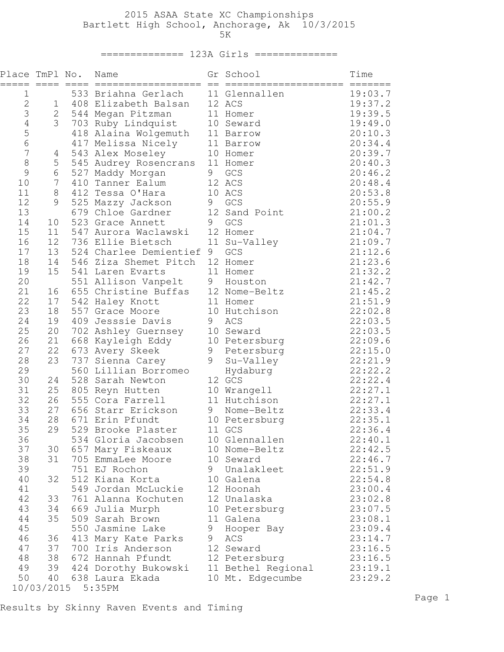## 2015 ASAA State XC Championships Bartlett High School, Anchorage, Ak 10/3/2015  $5K$

#### ============== 123A Girls ==============

| Place TmPl No.<br>$=$ | $=====$  |     | Name<br>==================              | $=$ | Gr School<br>====================      | Time               |
|-----------------------|----------|-----|-----------------------------------------|-----|----------------------------------------|--------------------|
| 1                     |          |     | 533 Briahna Gerlach                     |     | 11 Glennallen                          | 19:03.7            |
| $\overline{2}$        | 1        |     | 408 Elizabeth Balsan                    |     | 12 ACS                                 | 19:37.2            |
| 3                     | 2        |     | 544 Megan Pitzman                       |     | 11 Homer                               | 19:39.5            |
| $\sqrt{4}$            | 3        |     | 703 Ruby Lindquist                      |     | 10 Seward                              | 19:49.0            |
| 5<br>6                |          |     | 418 Alaina Wolgemuth                    |     | 11 Barrow                              | 20:10.3            |
|                       |          |     | 417 Melissa Nicely                      |     | 11 Barrow                              | 20:34.4            |
| $\overline{7}$        | 4        |     | 543 Alex Moseley                        |     | 10 Homer                               | 20:39.7            |
| 8                     | 5        |     | 545 Audrey Rosencrans                   |     | 11 Homer                               | 20:40.3            |
| 9                     | 6        |     | 527 Maddy Morgan                        | 9   | GCS                                    | 20:46.2            |
| 10<br>11              | 7<br>8   |     | 410 Tanner Ealum<br>412 Tessa O'Hara    |     | 12 ACS<br>10 ACS                       | 20:48.4            |
| 12                    | 9        |     | 525 Mazzy Jackson                       | 9   | GCS                                    | 20:53.8<br>20:55.9 |
| 13                    |          |     | 679 Chloe Gardner                       |     | 12 Sand Point                          | 21:00.2            |
| 14                    | 10       |     | 523 Grace Annett                        | 9   | GCS                                    | 21:01.3            |
| 15                    | 11       |     | 547 Aurora Waclawski                    |     | 12 Homer                               | 21:04.7            |
| 16                    | 12       |     | 736 Ellie Bietsch                       |     | 11 Su-Valley                           | 21:09.7            |
| 17                    | 13       |     | 524 Charlee Demientief 9                |     | GCS                                    | 21:12.6            |
| 18                    | 14       |     | 546 Ziza Shemet Pitch                   |     | 12 Homer                               | 21:23.6            |
| 19                    | 15       |     | 541 Laren Evarts                        |     | 11 Homer                               | 21:32.2            |
| 20                    |          |     | 551 Allison Vanpelt                     |     | 9 Houston                              | 21:42.7            |
| 21                    | 16       |     | 655 Christine Buffas                    |     | 12 Nome-Beltz                          | 21:45.2            |
| 22                    | 17       |     | 542 Haley Knott                         |     | 11 Homer                               | 21:51.9            |
| 23                    | 18       |     | 557 Grace Moore                         |     | 10 Hutchison                           | 22:02.8            |
| 24                    | 19       |     | 409 Jesssie Davis                       | 9   | ACS                                    | 22:03.5            |
| 25                    | 20       |     | 702 Ashley Guernsey                     |     | 10 Seward                              | 22:03.5            |
| 26                    | 21       |     | 668 Kayleigh Eddy                       |     | 10 Petersburg                          | 22:09.6            |
| 27                    | 22       |     | 673 Avery Skeek                         | 9   | Petersburg                             | 22:15.0            |
| 28                    | 23       |     | 737 Sienna Carey                        | 9   | Su-Valley                              | 22:21.9            |
| 29                    |          |     | 560 Lillian Borromeo                    |     | Hydaburg                               | 22:22.2            |
| 30                    | 24       |     | 528 Sarah Newton                        |     | 12 GCS                                 | 22:22.4            |
| 31                    | 25       | 805 | Reyn Hutten                             |     | 10 Wrangell                            | 22:27.1            |
| 32                    | 26       |     | 555 Cora Farrell                        |     | 11 Hutchison                           | 22:27.1            |
| 33                    | 27       |     | 656 Starr Erickson                      |     | 9 Nome-Beltz                           | 22:33.4            |
| 34                    | 28       |     | 671 Erin Pfundt                         |     | 10 Petersburg                          | 22:35.1            |
| 35                    | 29       |     | 529 Brooke Plaster                      |     | 11 GCS                                 | 22:36.4            |
| 36                    |          |     | 534 Gloria Jacobsen                     |     | 10 Glennallen                          | 22:40.1            |
| 37                    | 30       |     | 657 Mary Fiskeaux                       |     | 10 Nome-Beltz                          | 22:42.5            |
| 38                    | 31       |     | 705 EmmaLee Moore                       |     | 10 Seward                              | 22:46.7            |
| 39                    |          |     | 751 EJ Rochon                           |     | 9 Unalakleet                           | 22:51.9            |
| 40                    | 32       |     | 512 Kiana Korta                         |     | 10 Galena                              | 22:54.8            |
| 41                    |          |     | 549 Jordan McLuckie                     |     | 12 Hoonah                              | 23:00.4            |
| 42                    | 33       |     | 761 Alanna Kochuten                     |     | 12 Unalaska                            | 23:02.8            |
| 43                    | 34       |     | 669 Julia Murph                         |     | 10 Petersburg                          | 23:07.5            |
| 44                    | 35       |     | 509 Sarah Brown                         |     | 11 Galena                              | 23:08.1            |
| 45                    |          |     | 550 Jasmine Lake                        | 9   | Hooper Bay                             | 23:09.4            |
| 46                    | 36       |     | 413 Mary Kate Parks                     | 9   | ACS                                    | 23:14.7            |
| 47                    | 37       |     | 700 Iris Anderson                       |     | 12 Seward                              | 23:16.5            |
| 48                    | 38<br>39 |     | 672 Hannah Pfundt                       |     | 12 Petersburg                          | 23:16.5            |
| 49<br>50              | 40       |     | 424 Dorothy Bukowski<br>638 Laura Ekada |     | 11 Bethel Regional<br>10 Mt. Edgecumbe | 23:19.1<br>23:29.2 |
|                       |          |     |                                         |     |                                        |                    |

Results by Skinny Raven Events and Timing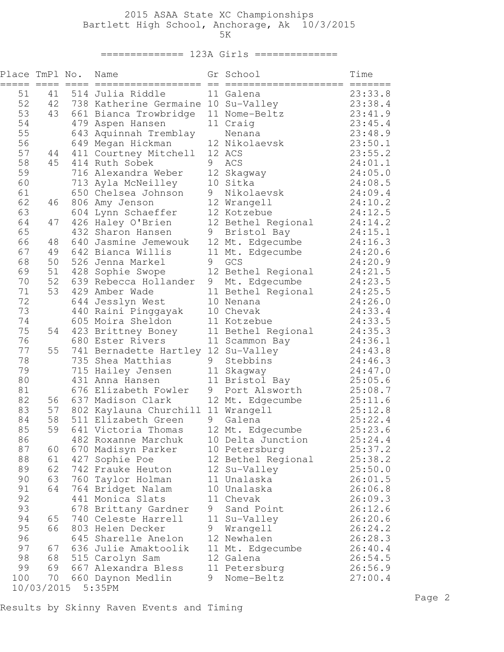# 2015 ASAA State XC Championships Bartlett High School, Anchorage, Ak 10/3/2015

 $5K$ 

#### ============== 123A Girls ==============

| ===== ==== ====<br>$\qquad \qquad \equiv \equiv \equiv \equiv \equiv \equiv \equiv \equiv$<br>23:33.8<br>51<br>514 Julia Riddle<br>11 Galena<br>41<br>52<br>42<br>23:38.4<br>738 Katherine Germaine 10 Su-Valley<br>53<br>43<br>661 Bianca Trowbridge<br>11 Nome-Beltz<br>23:41.9<br>54<br>11 Craig<br>23:45.4<br>479 Aspen Hansen<br>55<br>23:48.9<br>643 Aquinnah Tremblay<br>Nenana<br>56<br>12 Nikolaevsk<br>23:50.1<br>649 Megan Hickman<br>57<br>23:55.2<br>411 Courtney Mitchell<br>12 ACS<br>44<br>9<br>58<br>45<br>414 Ruth Sobek<br>ACS<br>24:01.1<br>12 Skagway<br>59<br>24:05.0<br>716 Alexandra Weber<br>10 Sitka<br>24:08.5<br>60<br>713 Ayla McNeilley<br>9<br>61<br>650 Chelsea Johnson<br>Nikolaevsk<br>24:09.4<br>62<br>12 Wrangell<br>806 Amy Jenson<br>24:10.2<br>46<br>63<br>24:12.5<br>604 Lynn Schaeffer<br>12 Kotzebue<br>12 Bethel Regional<br>64<br>426 Haley O'Brien<br>24:14.2<br>47<br>65<br>432 Sharon Hansen<br>9<br>24:15.1<br>Bristol Bay<br>66<br>12 Mt. Edgecumbe<br>640 Jasmine Jemewouk<br>24:16.3<br>48<br>67<br>49<br>642 Bianca Willis<br>11 Mt. Edgecumbe<br>24:20.6<br>9<br>68<br>526 Jenna Markel<br>GCS<br>50<br>24:20.9<br>69<br>12 Bethel Regional<br>24:21.5<br>51<br>428 Sophie Swope<br>70<br>52<br>639 Rebecca Hollander<br>9<br>24:23.5<br>Mt. Edgecumbe<br>53<br>24:25.5<br>71<br>429 Amber Wade<br>11 Bethel Regional<br>72<br>24:26.0<br>644 Jesslyn West<br>10 Nenana<br>73<br>440 Raini Pinggayak<br>10 Chevak<br>24:33.4<br>605 Moira Sheldon<br>24:33.5<br>74<br>11 Kotzebue<br>75<br>54<br>423 Brittney Boney<br>11 Bethel Regional<br>24:35.3<br>76<br>680 Ester Rivers<br>24:36.1<br>11 Scammon Bay<br>77<br>741 Bernadette Hartley 12 Su-Valley<br>55<br>24:43.8<br>78<br>9<br>735 Shea Matthias<br>Stebbins<br>24:46.3<br>79<br>715 Hailey Jensen<br>11 Skagway<br>24:47.0<br>80<br>25:05.6<br>431 Anna Hansen<br>11 Bristol Bay<br>9<br>81<br>676 Elizabeth Fowler<br>Port Alsworth<br>25:08.7<br>82<br>12 Mt. Edgecumbe<br>56<br>637 Madison Clark<br>25:11.6<br>83<br>802 Kaylauna Churchill 11 Wrangell<br>57<br>25:12.8<br>58<br>9<br>84<br>511 Elizabeth Green<br>25:22.4<br>Galena<br>85<br>59<br>12 Mt. Edgecumbe<br>25:23.6<br>641 Victoria Thomas<br>25:24.4<br>86<br>10 Delta Junction<br>482 Roxanne Marchuk<br>87<br>25:37.2<br>670 Madisyn Parker<br>60<br>10 Petersburg<br>88<br>12 Bethel Regional<br>25:38.2<br>61<br>427 Sophie Poe |  |
|----------------------------------------------------------------------------------------------------------------------------------------------------------------------------------------------------------------------------------------------------------------------------------------------------------------------------------------------------------------------------------------------------------------------------------------------------------------------------------------------------------------------------------------------------------------------------------------------------------------------------------------------------------------------------------------------------------------------------------------------------------------------------------------------------------------------------------------------------------------------------------------------------------------------------------------------------------------------------------------------------------------------------------------------------------------------------------------------------------------------------------------------------------------------------------------------------------------------------------------------------------------------------------------------------------------------------------------------------------------------------------------------------------------------------------------------------------------------------------------------------------------------------------------------------------------------------------------------------------------------------------------------------------------------------------------------------------------------------------------------------------------------------------------------------------------------------------------------------------------------------------------------------------------------------------------------------------------------------------------------------------------------------------------------------------------------------------------------------------------------------------------------------------------------------------------------------------------------------------------------------------------------------------------------------------------------------------------------------------------------------------------------------------------------|--|
|                                                                                                                                                                                                                                                                                                                                                                                                                                                                                                                                                                                                                                                                                                                                                                                                                                                                                                                                                                                                                                                                                                                                                                                                                                                                                                                                                                                                                                                                                                                                                                                                                                                                                                                                                                                                                                                                                                                                                                                                                                                                                                                                                                                                                                                                                                                                                                                                                      |  |
|                                                                                                                                                                                                                                                                                                                                                                                                                                                                                                                                                                                                                                                                                                                                                                                                                                                                                                                                                                                                                                                                                                                                                                                                                                                                                                                                                                                                                                                                                                                                                                                                                                                                                                                                                                                                                                                                                                                                                                                                                                                                                                                                                                                                                                                                                                                                                                                                                      |  |
|                                                                                                                                                                                                                                                                                                                                                                                                                                                                                                                                                                                                                                                                                                                                                                                                                                                                                                                                                                                                                                                                                                                                                                                                                                                                                                                                                                                                                                                                                                                                                                                                                                                                                                                                                                                                                                                                                                                                                                                                                                                                                                                                                                                                                                                                                                                                                                                                                      |  |
|                                                                                                                                                                                                                                                                                                                                                                                                                                                                                                                                                                                                                                                                                                                                                                                                                                                                                                                                                                                                                                                                                                                                                                                                                                                                                                                                                                                                                                                                                                                                                                                                                                                                                                                                                                                                                                                                                                                                                                                                                                                                                                                                                                                                                                                                                                                                                                                                                      |  |
|                                                                                                                                                                                                                                                                                                                                                                                                                                                                                                                                                                                                                                                                                                                                                                                                                                                                                                                                                                                                                                                                                                                                                                                                                                                                                                                                                                                                                                                                                                                                                                                                                                                                                                                                                                                                                                                                                                                                                                                                                                                                                                                                                                                                                                                                                                                                                                                                                      |  |
|                                                                                                                                                                                                                                                                                                                                                                                                                                                                                                                                                                                                                                                                                                                                                                                                                                                                                                                                                                                                                                                                                                                                                                                                                                                                                                                                                                                                                                                                                                                                                                                                                                                                                                                                                                                                                                                                                                                                                                                                                                                                                                                                                                                                                                                                                                                                                                                                                      |  |
|                                                                                                                                                                                                                                                                                                                                                                                                                                                                                                                                                                                                                                                                                                                                                                                                                                                                                                                                                                                                                                                                                                                                                                                                                                                                                                                                                                                                                                                                                                                                                                                                                                                                                                                                                                                                                                                                                                                                                                                                                                                                                                                                                                                                                                                                                                                                                                                                                      |  |
|                                                                                                                                                                                                                                                                                                                                                                                                                                                                                                                                                                                                                                                                                                                                                                                                                                                                                                                                                                                                                                                                                                                                                                                                                                                                                                                                                                                                                                                                                                                                                                                                                                                                                                                                                                                                                                                                                                                                                                                                                                                                                                                                                                                                                                                                                                                                                                                                                      |  |
|                                                                                                                                                                                                                                                                                                                                                                                                                                                                                                                                                                                                                                                                                                                                                                                                                                                                                                                                                                                                                                                                                                                                                                                                                                                                                                                                                                                                                                                                                                                                                                                                                                                                                                                                                                                                                                                                                                                                                                                                                                                                                                                                                                                                                                                                                                                                                                                                                      |  |
|                                                                                                                                                                                                                                                                                                                                                                                                                                                                                                                                                                                                                                                                                                                                                                                                                                                                                                                                                                                                                                                                                                                                                                                                                                                                                                                                                                                                                                                                                                                                                                                                                                                                                                                                                                                                                                                                                                                                                                                                                                                                                                                                                                                                                                                                                                                                                                                                                      |  |
|                                                                                                                                                                                                                                                                                                                                                                                                                                                                                                                                                                                                                                                                                                                                                                                                                                                                                                                                                                                                                                                                                                                                                                                                                                                                                                                                                                                                                                                                                                                                                                                                                                                                                                                                                                                                                                                                                                                                                                                                                                                                                                                                                                                                                                                                                                                                                                                                                      |  |
|                                                                                                                                                                                                                                                                                                                                                                                                                                                                                                                                                                                                                                                                                                                                                                                                                                                                                                                                                                                                                                                                                                                                                                                                                                                                                                                                                                                                                                                                                                                                                                                                                                                                                                                                                                                                                                                                                                                                                                                                                                                                                                                                                                                                                                                                                                                                                                                                                      |  |
|                                                                                                                                                                                                                                                                                                                                                                                                                                                                                                                                                                                                                                                                                                                                                                                                                                                                                                                                                                                                                                                                                                                                                                                                                                                                                                                                                                                                                                                                                                                                                                                                                                                                                                                                                                                                                                                                                                                                                                                                                                                                                                                                                                                                                                                                                                                                                                                                                      |  |
|                                                                                                                                                                                                                                                                                                                                                                                                                                                                                                                                                                                                                                                                                                                                                                                                                                                                                                                                                                                                                                                                                                                                                                                                                                                                                                                                                                                                                                                                                                                                                                                                                                                                                                                                                                                                                                                                                                                                                                                                                                                                                                                                                                                                                                                                                                                                                                                                                      |  |
|                                                                                                                                                                                                                                                                                                                                                                                                                                                                                                                                                                                                                                                                                                                                                                                                                                                                                                                                                                                                                                                                                                                                                                                                                                                                                                                                                                                                                                                                                                                                                                                                                                                                                                                                                                                                                                                                                                                                                                                                                                                                                                                                                                                                                                                                                                                                                                                                                      |  |
|                                                                                                                                                                                                                                                                                                                                                                                                                                                                                                                                                                                                                                                                                                                                                                                                                                                                                                                                                                                                                                                                                                                                                                                                                                                                                                                                                                                                                                                                                                                                                                                                                                                                                                                                                                                                                                                                                                                                                                                                                                                                                                                                                                                                                                                                                                                                                                                                                      |  |
|                                                                                                                                                                                                                                                                                                                                                                                                                                                                                                                                                                                                                                                                                                                                                                                                                                                                                                                                                                                                                                                                                                                                                                                                                                                                                                                                                                                                                                                                                                                                                                                                                                                                                                                                                                                                                                                                                                                                                                                                                                                                                                                                                                                                                                                                                                                                                                                                                      |  |
|                                                                                                                                                                                                                                                                                                                                                                                                                                                                                                                                                                                                                                                                                                                                                                                                                                                                                                                                                                                                                                                                                                                                                                                                                                                                                                                                                                                                                                                                                                                                                                                                                                                                                                                                                                                                                                                                                                                                                                                                                                                                                                                                                                                                                                                                                                                                                                                                                      |  |
|                                                                                                                                                                                                                                                                                                                                                                                                                                                                                                                                                                                                                                                                                                                                                                                                                                                                                                                                                                                                                                                                                                                                                                                                                                                                                                                                                                                                                                                                                                                                                                                                                                                                                                                                                                                                                                                                                                                                                                                                                                                                                                                                                                                                                                                                                                                                                                                                                      |  |
|                                                                                                                                                                                                                                                                                                                                                                                                                                                                                                                                                                                                                                                                                                                                                                                                                                                                                                                                                                                                                                                                                                                                                                                                                                                                                                                                                                                                                                                                                                                                                                                                                                                                                                                                                                                                                                                                                                                                                                                                                                                                                                                                                                                                                                                                                                                                                                                                                      |  |
|                                                                                                                                                                                                                                                                                                                                                                                                                                                                                                                                                                                                                                                                                                                                                                                                                                                                                                                                                                                                                                                                                                                                                                                                                                                                                                                                                                                                                                                                                                                                                                                                                                                                                                                                                                                                                                                                                                                                                                                                                                                                                                                                                                                                                                                                                                                                                                                                                      |  |
|                                                                                                                                                                                                                                                                                                                                                                                                                                                                                                                                                                                                                                                                                                                                                                                                                                                                                                                                                                                                                                                                                                                                                                                                                                                                                                                                                                                                                                                                                                                                                                                                                                                                                                                                                                                                                                                                                                                                                                                                                                                                                                                                                                                                                                                                                                                                                                                                                      |  |
|                                                                                                                                                                                                                                                                                                                                                                                                                                                                                                                                                                                                                                                                                                                                                                                                                                                                                                                                                                                                                                                                                                                                                                                                                                                                                                                                                                                                                                                                                                                                                                                                                                                                                                                                                                                                                                                                                                                                                                                                                                                                                                                                                                                                                                                                                                                                                                                                                      |  |
|                                                                                                                                                                                                                                                                                                                                                                                                                                                                                                                                                                                                                                                                                                                                                                                                                                                                                                                                                                                                                                                                                                                                                                                                                                                                                                                                                                                                                                                                                                                                                                                                                                                                                                                                                                                                                                                                                                                                                                                                                                                                                                                                                                                                                                                                                                                                                                                                                      |  |
|                                                                                                                                                                                                                                                                                                                                                                                                                                                                                                                                                                                                                                                                                                                                                                                                                                                                                                                                                                                                                                                                                                                                                                                                                                                                                                                                                                                                                                                                                                                                                                                                                                                                                                                                                                                                                                                                                                                                                                                                                                                                                                                                                                                                                                                                                                                                                                                                                      |  |
|                                                                                                                                                                                                                                                                                                                                                                                                                                                                                                                                                                                                                                                                                                                                                                                                                                                                                                                                                                                                                                                                                                                                                                                                                                                                                                                                                                                                                                                                                                                                                                                                                                                                                                                                                                                                                                                                                                                                                                                                                                                                                                                                                                                                                                                                                                                                                                                                                      |  |
|                                                                                                                                                                                                                                                                                                                                                                                                                                                                                                                                                                                                                                                                                                                                                                                                                                                                                                                                                                                                                                                                                                                                                                                                                                                                                                                                                                                                                                                                                                                                                                                                                                                                                                                                                                                                                                                                                                                                                                                                                                                                                                                                                                                                                                                                                                                                                                                                                      |  |
|                                                                                                                                                                                                                                                                                                                                                                                                                                                                                                                                                                                                                                                                                                                                                                                                                                                                                                                                                                                                                                                                                                                                                                                                                                                                                                                                                                                                                                                                                                                                                                                                                                                                                                                                                                                                                                                                                                                                                                                                                                                                                                                                                                                                                                                                                                                                                                                                                      |  |
|                                                                                                                                                                                                                                                                                                                                                                                                                                                                                                                                                                                                                                                                                                                                                                                                                                                                                                                                                                                                                                                                                                                                                                                                                                                                                                                                                                                                                                                                                                                                                                                                                                                                                                                                                                                                                                                                                                                                                                                                                                                                                                                                                                                                                                                                                                                                                                                                                      |  |
|                                                                                                                                                                                                                                                                                                                                                                                                                                                                                                                                                                                                                                                                                                                                                                                                                                                                                                                                                                                                                                                                                                                                                                                                                                                                                                                                                                                                                                                                                                                                                                                                                                                                                                                                                                                                                                                                                                                                                                                                                                                                                                                                                                                                                                                                                                                                                                                                                      |  |
|                                                                                                                                                                                                                                                                                                                                                                                                                                                                                                                                                                                                                                                                                                                                                                                                                                                                                                                                                                                                                                                                                                                                                                                                                                                                                                                                                                                                                                                                                                                                                                                                                                                                                                                                                                                                                                                                                                                                                                                                                                                                                                                                                                                                                                                                                                                                                                                                                      |  |
|                                                                                                                                                                                                                                                                                                                                                                                                                                                                                                                                                                                                                                                                                                                                                                                                                                                                                                                                                                                                                                                                                                                                                                                                                                                                                                                                                                                                                                                                                                                                                                                                                                                                                                                                                                                                                                                                                                                                                                                                                                                                                                                                                                                                                                                                                                                                                                                                                      |  |
|                                                                                                                                                                                                                                                                                                                                                                                                                                                                                                                                                                                                                                                                                                                                                                                                                                                                                                                                                                                                                                                                                                                                                                                                                                                                                                                                                                                                                                                                                                                                                                                                                                                                                                                                                                                                                                                                                                                                                                                                                                                                                                                                                                                                                                                                                                                                                                                                                      |  |
|                                                                                                                                                                                                                                                                                                                                                                                                                                                                                                                                                                                                                                                                                                                                                                                                                                                                                                                                                                                                                                                                                                                                                                                                                                                                                                                                                                                                                                                                                                                                                                                                                                                                                                                                                                                                                                                                                                                                                                                                                                                                                                                                                                                                                                                                                                                                                                                                                      |  |
|                                                                                                                                                                                                                                                                                                                                                                                                                                                                                                                                                                                                                                                                                                                                                                                                                                                                                                                                                                                                                                                                                                                                                                                                                                                                                                                                                                                                                                                                                                                                                                                                                                                                                                                                                                                                                                                                                                                                                                                                                                                                                                                                                                                                                                                                                                                                                                                                                      |  |
|                                                                                                                                                                                                                                                                                                                                                                                                                                                                                                                                                                                                                                                                                                                                                                                                                                                                                                                                                                                                                                                                                                                                                                                                                                                                                                                                                                                                                                                                                                                                                                                                                                                                                                                                                                                                                                                                                                                                                                                                                                                                                                                                                                                                                                                                                                                                                                                                                      |  |
| 89<br>62<br>25:50.0<br>742 Frauke Heuton<br>12 Su-Valley                                                                                                                                                                                                                                                                                                                                                                                                                                                                                                                                                                                                                                                                                                                                                                                                                                                                                                                                                                                                                                                                                                                                                                                                                                                                                                                                                                                                                                                                                                                                                                                                                                                                                                                                                                                                                                                                                                                                                                                                                                                                                                                                                                                                                                                                                                                                                             |  |
| 90<br>63<br>760 Taylor Holman<br>26:01.5<br>11 Unalaska                                                                                                                                                                                                                                                                                                                                                                                                                                                                                                                                                                                                                                                                                                                                                                                                                                                                                                                                                                                                                                                                                                                                                                                                                                                                                                                                                                                                                                                                                                                                                                                                                                                                                                                                                                                                                                                                                                                                                                                                                                                                                                                                                                                                                                                                                                                                                              |  |
| 91<br>764 Bridget Nalam<br>26:06.8<br>64<br>10 Unalaska                                                                                                                                                                                                                                                                                                                                                                                                                                                                                                                                                                                                                                                                                                                                                                                                                                                                                                                                                                                                                                                                                                                                                                                                                                                                                                                                                                                                                                                                                                                                                                                                                                                                                                                                                                                                                                                                                                                                                                                                                                                                                                                                                                                                                                                                                                                                                              |  |
| 92<br>26:09.3<br>441 Monica Slats<br>11 Chevak                                                                                                                                                                                                                                                                                                                                                                                                                                                                                                                                                                                                                                                                                                                                                                                                                                                                                                                                                                                                                                                                                                                                                                                                                                                                                                                                                                                                                                                                                                                                                                                                                                                                                                                                                                                                                                                                                                                                                                                                                                                                                                                                                                                                                                                                                                                                                                       |  |
| 93<br>9<br>26:12.6<br>678 Brittany Gardner<br>Sand Point                                                                                                                                                                                                                                                                                                                                                                                                                                                                                                                                                                                                                                                                                                                                                                                                                                                                                                                                                                                                                                                                                                                                                                                                                                                                                                                                                                                                                                                                                                                                                                                                                                                                                                                                                                                                                                                                                                                                                                                                                                                                                                                                                                                                                                                                                                                                                             |  |
| 94<br>11 Su-Valley<br>26:20.6<br>65<br>740 Celeste Harrell                                                                                                                                                                                                                                                                                                                                                                                                                                                                                                                                                                                                                                                                                                                                                                                                                                                                                                                                                                                                                                                                                                                                                                                                                                                                                                                                                                                                                                                                                                                                                                                                                                                                                                                                                                                                                                                                                                                                                                                                                                                                                                                                                                                                                                                                                                                                                           |  |
| 95<br>9<br>26:24.2<br>66<br>803 Helen Decker<br>Wrangell                                                                                                                                                                                                                                                                                                                                                                                                                                                                                                                                                                                                                                                                                                                                                                                                                                                                                                                                                                                                                                                                                                                                                                                                                                                                                                                                                                                                                                                                                                                                                                                                                                                                                                                                                                                                                                                                                                                                                                                                                                                                                                                                                                                                                                                                                                                                                             |  |
| 96<br>12 Newhalen<br>26:28.3<br>645 Sharelle Anelon                                                                                                                                                                                                                                                                                                                                                                                                                                                                                                                                                                                                                                                                                                                                                                                                                                                                                                                                                                                                                                                                                                                                                                                                                                                                                                                                                                                                                                                                                                                                                                                                                                                                                                                                                                                                                                                                                                                                                                                                                                                                                                                                                                                                                                                                                                                                                                  |  |
| 97<br>636 Julie Amaktoolik<br>11 Mt. Edgecumbe<br>26:40.4<br>67                                                                                                                                                                                                                                                                                                                                                                                                                                                                                                                                                                                                                                                                                                                                                                                                                                                                                                                                                                                                                                                                                                                                                                                                                                                                                                                                                                                                                                                                                                                                                                                                                                                                                                                                                                                                                                                                                                                                                                                                                                                                                                                                                                                                                                                                                                                                                      |  |
| 98<br>26:54.5<br>68<br>515 Carolyn Sam<br>12 Galena                                                                                                                                                                                                                                                                                                                                                                                                                                                                                                                                                                                                                                                                                                                                                                                                                                                                                                                                                                                                                                                                                                                                                                                                                                                                                                                                                                                                                                                                                                                                                                                                                                                                                                                                                                                                                                                                                                                                                                                                                                                                                                                                                                                                                                                                                                                                                                  |  |
| 99<br>69<br>26:56.9<br>667 Alexandra Bless<br>11 Petersburg                                                                                                                                                                                                                                                                                                                                                                                                                                                                                                                                                                                                                                                                                                                                                                                                                                                                                                                                                                                                                                                                                                                                                                                                                                                                                                                                                                                                                                                                                                                                                                                                                                                                                                                                                                                                                                                                                                                                                                                                                                                                                                                                                                                                                                                                                                                                                          |  |
| 100<br>70<br>27:00.4<br>660 Daynon Medlin<br>9<br>Nome-Beltz<br>10/03/2015 5:35PM                                                                                                                                                                                                                                                                                                                                                                                                                                                                                                                                                                                                                                                                                                                                                                                                                                                                                                                                                                                                                                                                                                                                                                                                                                                                                                                                                                                                                                                                                                                                                                                                                                                                                                                                                                                                                                                                                                                                                                                                                                                                                                                                                                                                                                                                                                                                    |  |

Results by Skinny Raven Events and Timing